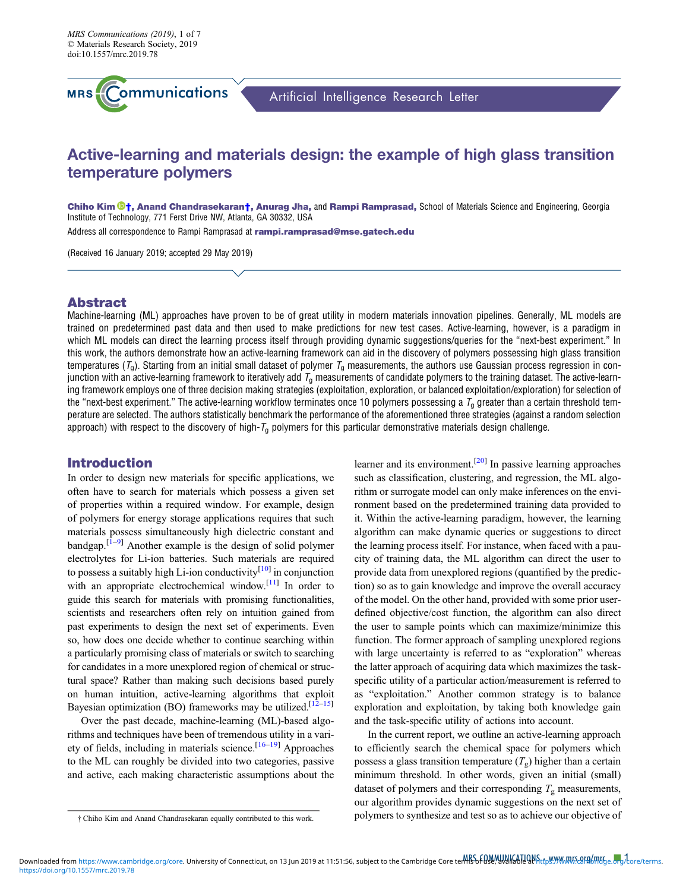

Artificial Intelligence Research Letter

# Active-learning and materials design: the example of high glass transition temperature polymers

Chiho Kim <sup>®</sup>[†](https://orcid.org/0000-0002-1814-4980), Anand Chandrasekaran†, Anurag Jha, and Rampi Ramprasad, School of Materials Science and Engineering, Georgia Institute of Technology, 771 Ferst Drive NW, Atlanta, GA 30332, USA

Address all correspondence to Rampi Ramprasad at [rampi.ramprasad@mse.gatech.edu](mailto:rampi.ramprasad@mse.gatech.edu)

(Received 16 January 2019; accepted 29 May 2019)

# Abstract

Machine-learning (ML) approaches have proven to be of great utility in modern materials innovation pipelines. Generally, ML models are trained on predetermined past data and then used to make predictions for new test cases. Active-learning, however, is a paradigm in which ML models can direct the learning process itself through providing dynamic suggestions/queries for the "next-best experiment." In this work, the authors demonstrate how an active-learning framework can aid in the discovery of polymers possessing high glass transition temperatures ( $T_q$ ). Starting from an initial small dataset of polymer  $T_q$  measurements, the authors use Gaussian process regression in conjunction with an active-learning framework to iteratively add  $T_0$  measurements of candidate polymers to the training dataset. The active-learning framework employs one of three decision making strategies (exploitation, exploration, or balanced exploitation/exploration) for selection of the "next-best experiment." The active-learning workflow terminates once 10 polymers possessing a  $T_q$  greater than a certain threshold temperature are selected. The authors statistically benchmark the performance of the aforementioned three strategies (against a random selection approach) with respect to the discovery of high- $T_q$  polymers for this particular demonstrative materials design challenge.

# Introduction

In order to design new materials for specific applications, we often have to search for materials which possess a given set of properties within a required window. For example, design of polymers for energy storage applications requires that such materials possess simultaneously high dielectric constant and bandgap. $[1-9]$  $[1-9]$  $[1-9]$  $[1-9]$  $[1-9]$  Another example is the design of solid polymer electrolytes for Li-ion batteries. Such materials are required to possess a suitably high Li-ion conductivity<sup>[[10\]](#page-5-0)</sup> in conjunction with an appropriate electrochemical window.<sup>[[11\]](#page-5-0)</sup> In order to guide this search for materials with promising functionalities, scientists and researchers often rely on intuition gained from past experiments to design the next set of experiments. Even so, how does one decide whether to continue searching within a particularly promising class of materials or switch to searching for candidates in a more unexplored region of chemical or structural space? Rather than making such decisions based purely on human intuition, active-learning algorithms that exploit Bayesian optimization (BO) frameworks may be utilized.<sup>[[12](#page-6-0)–[15](#page-6-0)]</sup>

Over the past decade, machine-learning (ML)-based algorithms and techniques have been of tremendous utility in a vari-ety of fields, including in materials science.<sup>[\[16](#page-6-0)–[19\]](#page-6-0)</sup> Approaches to the ML can roughly be divided into two categories, passive and active, each making characteristic assumptions about the learner and its environment.<sup>[\[20\]](#page-6-0)</sup> In passive learning approaches such as classification, clustering, and regression, the ML algorithm or surrogate model can only make inferences on the environment based on the predetermined training data provided to it. Within the active-learning paradigm, however, the learning algorithm can make dynamic queries or suggestions to direct the learning process itself. For instance, when faced with a paucity of training data, the ML algorithm can direct the user to provide data from unexplored regions (quantified by the prediction) so as to gain knowledge and improve the overall accuracy of the model. On the other hand, provided with some prior userdefined objective/cost function, the algorithm can also direct the user to sample points which can maximize/minimize this function. The former approach of sampling unexplored regions with large uncertainty is referred to as "exploration" whereas the latter approach of acquiring data which maximizes the taskspecific utility of a particular action/measurement is referred to as "exploitation." Another common strategy is to balance exploration and exploitation, by taking both knowledge gain and the task-specific utility of actions into account.

In the current report, we outline an active-learning approach to efficiently search the chemical space for polymers which possess a glass transition temperature  $(T_g)$  higher than a certain minimum threshold. In other words, given an initial (small) dataset of polymers and their corresponding  $T_g$  measurements, our algorithm provides dynamic suggestions on the next set of polymers to synthesize and test so as to achieve our objective of † Chiho Kim and Anand Chandrasekaran equally contributed to this work.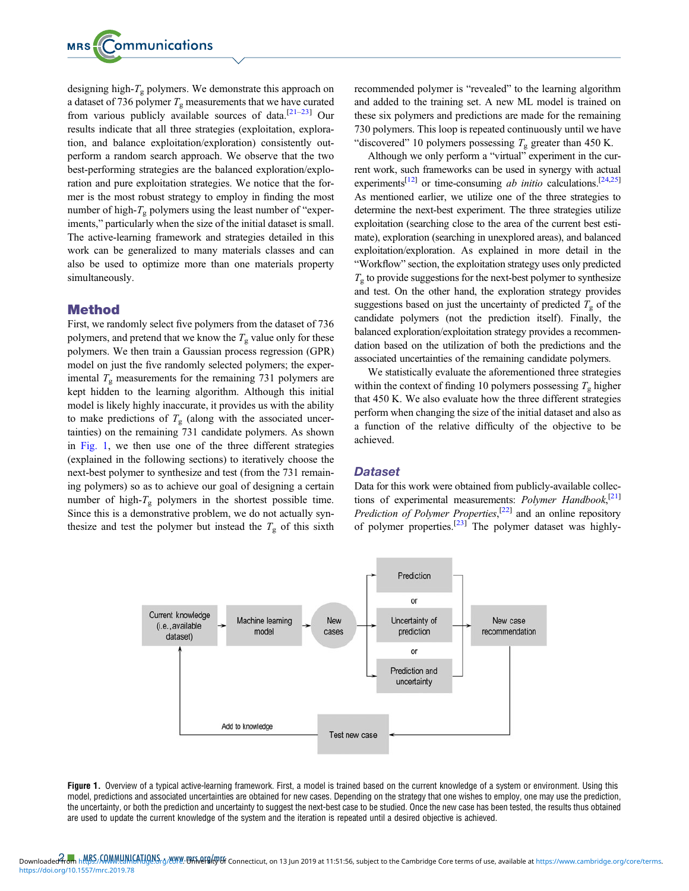designing high- $T_{g}$  polymers. We demonstrate this approach on a dataset of 736 polymer  $T<sub>g</sub>$  measurements that we have curated from various publicly available sources of data.<sup>[\[21](#page-6-0)–[23\]](#page-6-0)</sup> Our results indicate that all three strategies (exploitation, exploration, and balance exploitation/exploration) consistently outperform a random search approach. We observe that the two best-performing strategies are the balanced exploration/exploration and pure exploitation strategies. We notice that the former is the most robust strategy to employ in finding the most number of high- $T_g$  polymers using the least number of "experiments," particularly when the size of the initial dataset is small. The active-learning framework and strategies detailed in this work can be generalized to many materials classes and can also be used to optimize more than one materials property simultaneously.

# Method

First, we randomly select five polymers from the dataset of 736 polymers, and pretend that we know the  $T_g$  value only for these polymers. We then train a Gaussian process regression (GPR) model on just the five randomly selected polymers; the experimental  $T_g$  measurements for the remaining 731 polymers are kept hidden to the learning algorithm. Although this initial model is likely highly inaccurate, it provides us with the ability to make predictions of  $T<sub>g</sub>$  (along with the associated uncertainties) on the remaining 731 candidate polymers. As shown in Fig. 1, we then use one of the three different strategies (explained in the following sections) to iteratively choose the next-best polymer to synthesize and test (from the 731 remaining polymers) so as to achieve our goal of designing a certain number of high- $T_g$  polymers in the shortest possible time. Since this is a demonstrative problem, we do not actually synthesize and test the polymer but instead the  $T<sub>g</sub>$  of this sixth recommended polymer is "revealed" to the learning algorithm and added to the training set. A new ML model is trained on these six polymers and predictions are made for the remaining 730 polymers. This loop is repeated continuously until we have "discovered" 10 polymers possessing  $T_g$  greater than 450 K.

Although we only perform a "virtual" experiment in the current work, such frameworks can be used in synergy with actual experiments<sup>[[12\]](#page-6-0)</sup> or time-consuming *ab initio* calculations.<sup>[\[24](#page-6-0),[25\]](#page-6-0)</sup> As mentioned earlier, we utilize one of the three strategies to determine the next-best experiment. The three strategies utilize exploitation (searching close to the area of the current best estimate), exploration (searching in unexplored areas), and balanced exploitation/exploration. As explained in more detail in the "Workflow" section, the exploitation strategy uses only predicted  $T_{g}$  to provide suggestions for the next-best polymer to synthesize and test. On the other hand, the exploration strategy provides suggestions based on just the uncertainty of predicted  $T<sub>g</sub>$  of the candidate polymers (not the prediction itself). Finally, the balanced exploration/exploitation strategy provides a recommendation based on the utilization of both the predictions and the associated uncertainties of the remaining candidate polymers.

We statistically evaluate the aforementioned three strategies within the context of finding 10 polymers possessing  $T_g$  higher that 450 K. We also evaluate how the three different strategies perform when changing the size of the initial dataset and also as a function of the relative difficulty of the objective to be achieved.

#### **Dataset**

Data for this work were obtained from publicly-available collec-tions of experimental measurements: Polymer Handbook,<sup>[[21\]](#page-6-0)</sup> Prediction of Polymer Properties,<sup>[\[22\]](#page-6-0)</sup> and an online repository of polymer properties.<sup>[[23\]](#page-6-0)</sup> The polymer dataset was highly-



Figure 1. Overview of a typical active-learning framework. First, a model is trained based on the current knowledge of a system or environment. Using this model, predictions and associated uncertainties are obtained for new cases. Depending on the strategy that one wishes to employ, one may use the prediction, the uncertainty, or both the prediction and uncertainty to suggest the next-best case to be studied. Once the new case has been tested, the results thus obtained are used to update the current knowledge of the system and the iteration is repeated until a desired objective is achieved.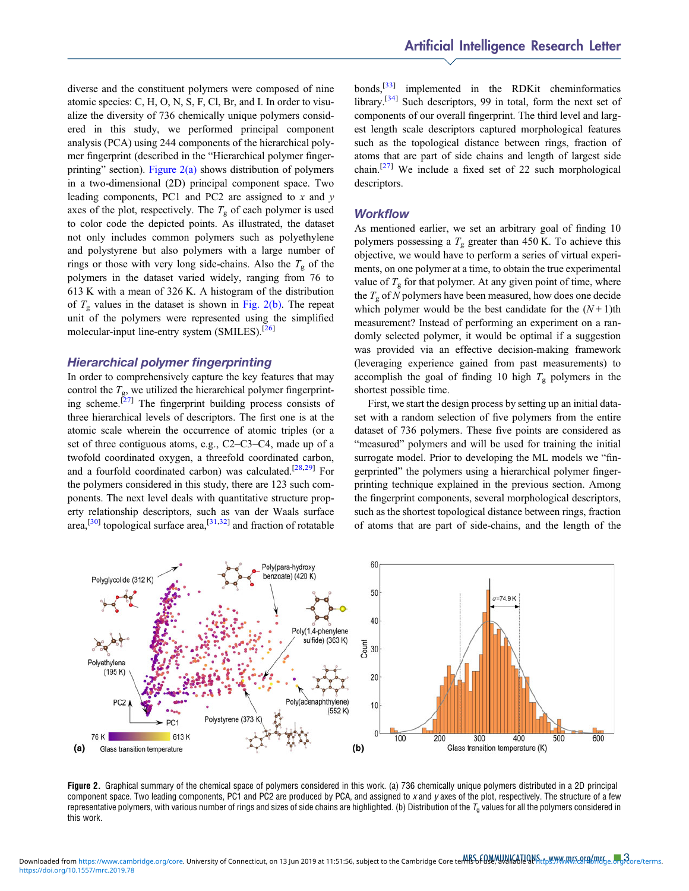diverse and the constituent polymers were composed of nine atomic species: C, H, O, N, S, F, Cl, Br, and I. In order to visualize the diversity of 736 chemically unique polymers considered in this study, we performed principal component analysis (PCA) using 244 components of the hierarchical polymer fingerprint (described in the "Hierarchical polymer fingerprinting" section). Figure  $2(a)$  shows distribution of polymers in a two-dimensional (2D) principal component space. Two leading components, PC1 and PC2 are assigned to  $x$  and  $y$ axes of the plot, respectively. The  $T_{\rm g}$  of each polymer is used to color code the depicted points. As illustrated, the dataset not only includes common polymers such as polyethylene and polystyrene but also polymers with a large number of rings or those with very long side-chains. Also the  $T_{\rm g}$  of the polymers in the dataset varied widely, ranging from 76 to 613 K with a mean of 326 K. A histogram of the distribution of  $T<sub>g</sub>$  values in the dataset is shown in Fig. 2(b). The repeat unit of the polymers were represented using the simplified molecular-input line-entry system (SMILES).<sup>[\[26](#page-6-0)]</sup>

# Hierarchical polymer fingerprinting

In order to comprehensively capture the key features that may control the  $T_{\rm g}$ , we utilized the hierarchical polymer fingerprint-ing scheme.<sup>[\[27\]](#page-6-0)</sup> The fingerprint building process consists of three hierarchical levels of descriptors. The first one is at the atomic scale wherein the occurrence of atomic triples (or a set of three contiguous atoms, e.g., C2–C3–C4, made up of a twofold coordinated oxygen, a threefold coordinated carbon, and a fourfold coordinated carbon) was calculated.<sup>[[28](#page-6-0),[29\]](#page-6-0)</sup> For the polymers considered in this study, there are 123 such components. The next level deals with quantitative structure property relationship descriptors, such as van der Waals surface area,<sup>[\[30](#page-6-0)]</sup> topological surface area,<sup>[\[31,32](#page-6-0)]</sup> and fraction of rotatable bonds,[\[33\]](#page-6-0) implemented in the RDKit cheminformatics library.<sup>[\[34\]](#page-6-0)</sup> Such descriptors, 99 in total, form the next set of components of our overall fingerprint. The third level and largest length scale descriptors captured morphological features such as the topological distance between rings, fraction of atoms that are part of side chains and length of largest side chain.<sup>[\[27](#page-6-0)]</sup> We include a fixed set of 22 such morphological descriptors.

#### **Workflow**

As mentioned earlier, we set an arbitrary goal of finding 10 polymers possessing a  $T<sub>g</sub>$  greater than 450 K. To achieve this objective, we would have to perform a series of virtual experiments, on one polymer at a time, to obtain the true experimental value of  $T_g$  for that polymer. At any given point of time, where the  $T_{\rm g}$  of N polymers have been measured, how does one decide which polymer would be the best candidate for the  $(N+1)$ th measurement? Instead of performing an experiment on a randomly selected polymer, it would be optimal if a suggestion was provided via an effective decision-making framework (leveraging experience gained from past measurements) to accomplish the goal of finding 10 high  $T<sub>g</sub>$  polymers in the shortest possible time.

First, we start the design process by setting up an initial dataset with a random selection of five polymers from the entire dataset of 736 polymers. These five points are considered as "measured" polymers and will be used for training the initial surrogate model. Prior to developing the ML models we "fingerprinted" the polymers using a hierarchical polymer fingerprinting technique explained in the previous section. Among the fingerprint components, several morphological descriptors, such as the shortest topological distance between rings, fraction of atoms that are part of side-chains, and the length of the



Figure 2. Graphical summary of the chemical space of polymers considered in this work. (a) 736 chemically unique polymers distributed in a 2D principal component space. Two leading components, PC1 and PC2 are produced by PCA, and assigned to x and y axes of the plot, respectively. The structure of a few representative polymers, with various number of rings and sizes of side chains are highlighted. (b) Distribution of the  $T<sub>0</sub>$  values for all the polymers considered in this work.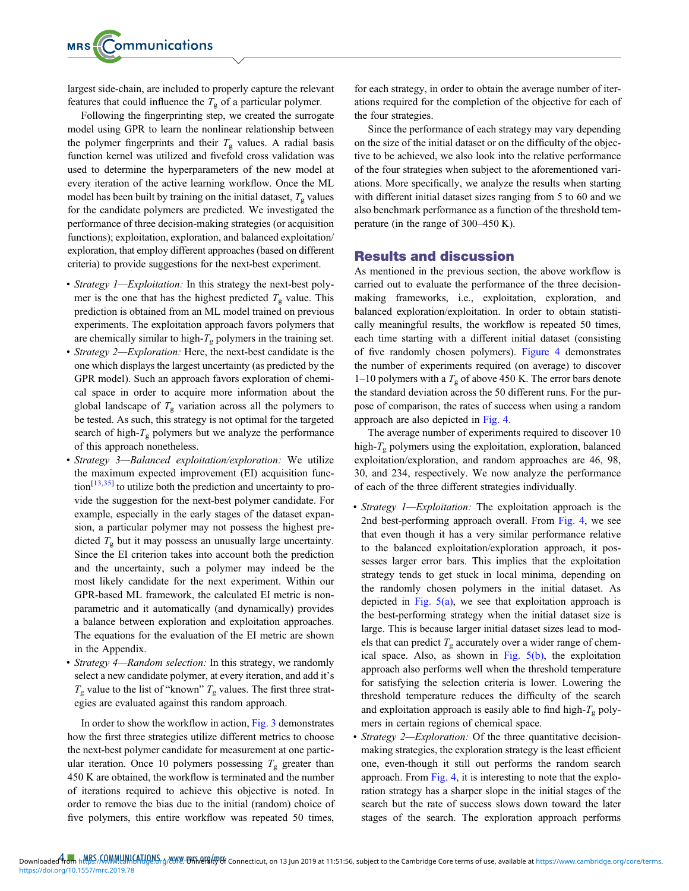largest side-chain, are included to properly capture the relevant features that could influence the  $T_{\rm g}$  of a particular polymer.

Following the fingerprinting step, we created the surrogate model using GPR to learn the nonlinear relationship between the polymer fingerprints and their  $T<sub>g</sub>$  values. A radial basis function kernel was utilized and fivefold cross validation was used to determine the hyperparameters of the new model at every iteration of the active learning workflow. Once the ML model has been built by training on the initial dataset,  $T_{\rm g}$  values for the candidate polymers are predicted. We investigated the performance of three decision-making strategies (or acquisition functions); exploitation, exploration, and balanced exploitation/ exploration, that employ different approaches (based on different criteria) to provide suggestions for the next-best experiment.

- Strategy 1-Exploitation: In this strategy the next-best polymer is the one that has the highest predicted  $T<sub>g</sub>$  value. This prediction is obtained from an ML model trained on previous experiments. The exploitation approach favors polymers that are chemically similar to high- $T_g$  polymers in the training set.
- Strategy 2—Exploration: Here, the next-best candidate is the one which displays the largest uncertainty (as predicted by the GPR model). Such an approach favors exploration of chemical space in order to acquire more information about the global landscape of  $T_g$  variation across all the polymers to be tested. As such, this strategy is not optimal for the targeted search of high- $T_{\rm g}$  polymers but we analyze the performance of this approach nonetheless.
- Strategy 3—Balanced exploitation/exploration: We utilize the maximum expected improvement (EI) acquisition func- $\text{tion}^{\left[13,35\right]}$  $\text{tion}^{\left[13,35\right]}$  $\text{tion}^{\left[13,35\right]}$  $\text{tion}^{\left[13,35\right]}$  $\text{tion}^{\left[13,35\right]}$  to utilize both the prediction and uncertainty to provide the suggestion for the next-best polymer candidate. For example, especially in the early stages of the dataset expansion, a particular polymer may not possess the highest predicted  $T_g$  but it may possess an unusually large uncertainty. Since the EI criterion takes into account both the prediction and the uncertainty, such a polymer may indeed be the most likely candidate for the next experiment. Within our GPR-based ML framework, the calculated EI metric is nonparametric and it automatically (and dynamically) provides a balance between exploration and exploitation approaches. The equations for the evaluation of the EI metric are shown in the Appendix.
- Strategy 4—Random selection: In this strategy, we randomly select a new candidate polymer, at every iteration, and add it's  $T_{\rm g}$  value to the list of "known"  $T_{\rm g}$  values. The first three strategies are evaluated against this random approach.

In order to show the workflow in action, [Fig. 3](#page-4-0) demonstrates how the first three strategies utilize different metrics to choose the next-best polymer candidate for measurement at one particular iteration. Once 10 polymers possessing  $T_{\rm g}$  greater than 450 K are obtained, the workflow is terminated and the number of iterations required to achieve this objective is noted. In order to remove the bias due to the initial (random) choice of five polymers, this entire workflow was repeated 50 times, for each strategy, in order to obtain the average number of iterations required for the completion of the objective for each of the four strategies.

Since the performance of each strategy may vary depending on the size of the initial dataset or on the difficulty of the objective to be achieved, we also look into the relative performance of the four strategies when subject to the aforementioned variations. More specifically, we analyze the results when starting with different initial dataset sizes ranging from 5 to 60 and we also benchmark performance as a function of the threshold temperature (in the range of 300–450 K).

#### Results and discussion

As mentioned in the previous section, the above workflow is carried out to evaluate the performance of the three decisionmaking frameworks, i.e., exploitation, exploration, and balanced exploration/exploitation. In order to obtain statistically meaningful results, the workflow is repeated 50 times, each time starting with a different initial dataset (consisting of five randomly chosen polymers). [Figure 4](#page-4-0) demonstrates the number of experiments required (on average) to discover 1–10 polymers with a  $T<sub>g</sub>$  of above 450 K. The error bars denote the standard deviation across the 50 different runs. For the purpose of comparison, the rates of success when using a random approach are also depicted in [Fig. 4.](#page-4-0)

The average number of experiments required to discover 10 high- $T_{g}$  polymers using the exploitation, exploration, balanced exploitation/exploration, and random approaches are 46, 98, 30, and 234, respectively. We now analyze the performance of each of the three different strategies individually.

- Strategy 1—Exploitation: The exploitation approach is the 2nd best-performing approach overall. From [Fig. 4,](#page-4-0) we see that even though it has a very similar performance relative to the balanced exploitation/exploration approach, it possesses larger error bars. This implies that the exploitation strategy tends to get stuck in local minima, depending on the randomly chosen polymers in the initial dataset. As depicted in Fig.  $5(a)$ , we see that exploitation approach is the best-performing strategy when the initial dataset size is large. This is because larger initial dataset sizes lead to models that can predict  $T_g$  accurately over a wider range of chemical space. Also, as shown in Fig.  $5(b)$ , the exploitation approach also performs well when the threshold temperature for satisfying the selection criteria is lower. Lowering the threshold temperature reduces the difficulty of the search and exploitation approach is easily able to find high- $T_g$  polymers in certain regions of chemical space.
- Strategy 2—Exploration: Of the three quantitative decisionmaking strategies, the exploration strategy is the least efficient one, even-though it still out performs the random search approach. From [Fig. 4,](#page-4-0) it is interesting to note that the exploration strategy has a sharper slope in the initial stages of the search but the rate of success slows down toward the later stages of the search. The exploration approach performs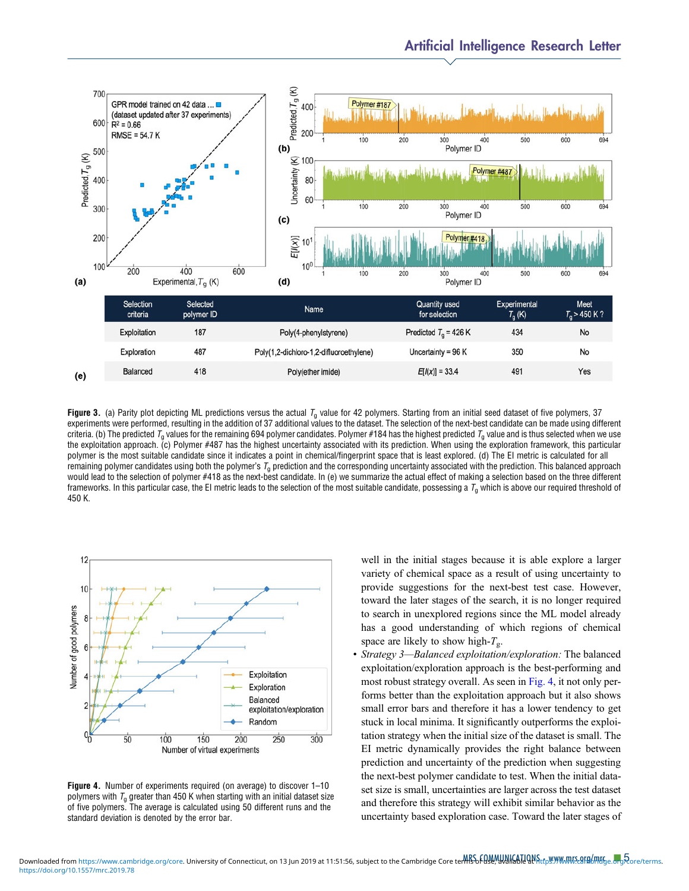<span id="page-4-0"></span>

Figure 3. (a) Parity plot depicting ML predictions versus the actual  $T_g$  value for 42 polymers. Starting from an initial seed dataset of five polymers, 37 experiments were performed, resulting in the addition of 37 additional values to the dataset. The selection of the next-best candidate can be made using different criteria. (b) The predicted  $T_q$  values for the remaining 694 polymer candidates. Polymer #184 has the highest predicted  $T_q$  value and is thus selected when we use the exploitation approach. (c) Polymer #487 has the highest uncertainty associated with its prediction. When using the exploration framework, this particular polymer is the most suitable candidate since it indicates a point in chemical/fingerprint space that is least explored. (d) The EI metric is calculated for all remaining polymer candidates using both the polymer's  $T_q$  prediction and the corresponding uncertainty associated with the prediction. This balanced approach would lead to the selection of polymer #418 as the next-best candidate. In (e) we summarize the actual effect of making a selection based on the three different frameworks. In this particular case, the EI metric leads to the selection of the most suitable candidate, possessing a  $T_q$  which is above our required threshold of 450 K.



Figure 4. Number of experiments required (on average) to discover 1–<sup>10</sup> polymers with  $T_q$  greater than 450 K when starting with an initial dataset size of five polymers. The average is calculated using 50 different runs and the standard deviation is denoted by the error bar.

well in the initial stages because it is able explore a larger variety of chemical space as a result of using uncertainty to provide suggestions for the next-best test case. However, toward the later stages of the search, it is no longer required to search in unexplored regions since the ML model already has a good understanding of which regions of chemical space are likely to show high- $T_{\rm g}$ .

• Strategy 3-Balanced exploitation/exploration: The balanced exploitation/exploration approach is the best-performing and most robust strategy overall. As seen in Fig. 4, it not only performs better than the exploitation approach but it also shows small error bars and therefore it has a lower tendency to get stuck in local minima. It significantly outperforms the exploitation strategy when the initial size of the dataset is small. The EI metric dynamically provides the right balance between prediction and uncertainty of the prediction when suggesting the next-best polymer candidate to test. When the initial dataset size is small, uncertainties are larger across the test dataset and therefore this strategy will exhibit similar behavior as the uncertainty based exploration case. Toward the later stages of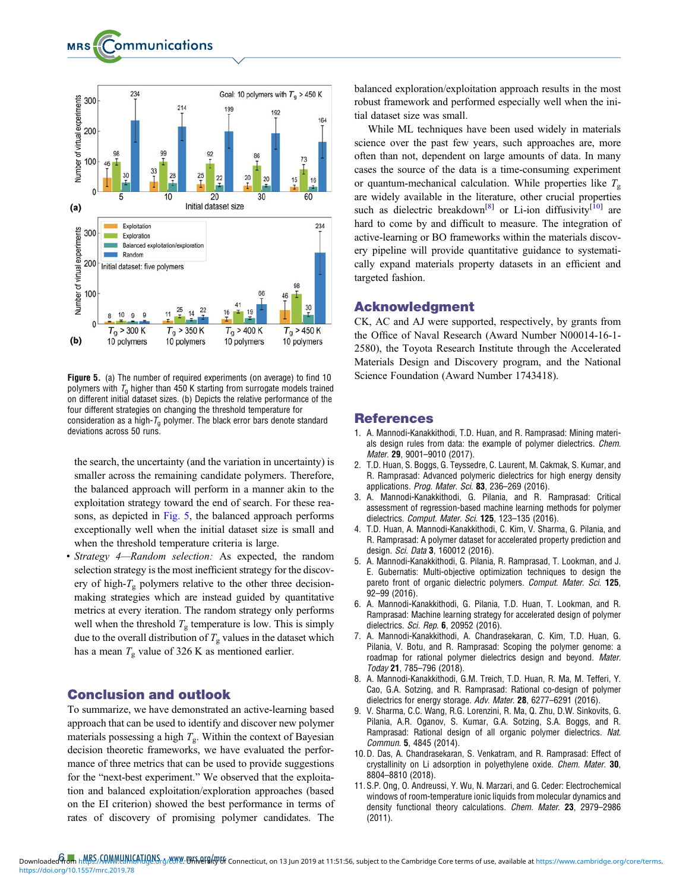<span id="page-5-0"></span>

Figure 5. (a) The number of required experiments (on average) to find 10 polymers with  $T<sub>a</sub>$  higher than 450 K starting from surrogate models trained on different initial dataset sizes. (b) Depicts the relative performance of the four different strategies on changing the threshold temperature for consideration as a high- $T_{q}$  polymer. The black error bars denote standard deviations across 50 runs.

the search, the uncertainty (and the variation in uncertainty) is smaller across the remaining candidate polymers. Therefore, the balanced approach will perform in a manner akin to the exploitation strategy toward the end of search. For these reasons, as depicted in Fig. 5, the balanced approach performs exceptionally well when the initial dataset size is small and when the threshold temperature criteria is large.

• Strategy 4-Random selection: As expected, the random selection strategy is the most inefficient strategy for the discovery of high- $T_g$  polymers relative to the other three decisionmaking strategies which are instead guided by quantitative metrics at every iteration. The random strategy only performs well when the threshold  $T_g$  temperature is low. This is simply due to the overall distribution of  $T_{\rm g}$  values in the dataset which has a mean  $T_g$  value of 326 K as mentioned earlier.

# Conclusion and outlook

To summarize, we have demonstrated an active-learning based approach that can be used to identify and discover new polymer materials possessing a high  $T_{\rm g}$ . Within the context of Bayesian decision theoretic frameworks, we have evaluated the performance of three metrics that can be used to provide suggestions for the "next-best experiment." We observed that the exploitation and balanced exploitation/exploration approaches (based on the EI criterion) showed the best performance in terms of rates of discovery of promising polymer candidates. The

balanced exploration/exploitation approach results in the most robust framework and performed especially well when the initial dataset size was small.

While ML techniques have been used widely in materials science over the past few years, such approaches are, more often than not, dependent on large amounts of data. In many cases the source of the data is a time-consuming experiment or quantum-mechanical calculation. While properties like  $T_{g}$ are widely available in the literature, other crucial properties such as dielectric breakdown<sup>[8]</sup> or Li-ion diffusivity<sup>[10]</sup> are hard to come by and difficult to measure. The integration of active-learning or BO frameworks within the materials discovery pipeline will provide quantitative guidance to systematically expand materials property datasets in an efficient and targeted fashion.

# Acknowledgment

CK, AC and AJ were supported, respectively, by grants from the Office of Naval Research (Award Number N00014-16-1- 2580), the Toyota Research Institute through the Accelerated Materials Design and Discovery program, and the National Science Foundation (Award Number 1743418).

#### References

- 1. A. Mannodi-Kanakkithodi, T.D. Huan, and R. Ramprasad: Mining materials design rules from data: the example of polymer dielectrics. Chem. Mater. 29, 9001–9010 (2017).
- 2. T.D. Huan, S. Boggs, G. Teyssedre, C. Laurent, M. Cakmak, S. Kumar, and R. Ramprasad: Advanced polymeric dielectrics for high energy density applications. Prog. Mater. Sci. 83, 236-269 (2016).
- 3. A. Mannodi-Kanakkithodi, G. Pilania, and R. Ramprasad: Critical assessment of regression-based machine learning methods for polymer dielectrics. Comput. Mater. Sci. 125, 123-135 (2016).
- 4. T.D. Huan, A. Mannodi-Kanakkithodi, C. Kim, V. Sharma, G. Pilania, and R. Ramprasad: A polymer dataset for accelerated property prediction and design. Sci. Data 3, 160012 (2016).
- 5. A. Mannodi-Kanakkithodi, G. Pilania, R. Ramprasad, T. Lookman, and J. E. Gubernatis: Multi-objective optimization techniques to design the pareto front of organic dielectric polymers. Comput. Mater. Sci. 125, 92–99 (2016).
- 6. A. Mannodi-Kanakkithodi, G. Pilania, T.D. Huan, T. Lookman, and R. Ramprasad: Machine learning strategy for accelerated design of polymer dielectrics. Sci. Rep. 6, 20952 (2016).
- 7. A. Mannodi-Kanakkithodi, A. Chandrasekaran, C. Kim, T.D. Huan, G. Pilania, V. Botu, and R. Ramprasad: Scoping the polymer genome: a roadmap for rational polymer dielectrics design and beyond. Mater. Today 21, 785–796 (2018).
- 8. A. Mannodi-Kanakkithodi, G.M. Treich, T.D. Huan, R. Ma, M. Tefferi, Y. Cao, G.A. Sotzing, and R. Ramprasad: Rational co-design of polymer dielectrics for energy storage. Adv. Mater. 28, 6277–6291 (2016).
- 9. V. Sharma, C.C. Wang, R.G. Lorenzini, R. Ma, Q. Zhu, D.W. Sinkovits, G. Pilania, A.R. Oganov, S. Kumar, G.A. Sotzing, S.A. Boggs, and R. Ramprasad: Rational design of all organic polymer dielectrics. Nat. Commun. 5, 4845 (2014).
- 10. D. Das, A. Chandrasekaran, S. Venkatram, and R. Ramprasad: Effect of crystallinity on Li adsorption in polyethylene oxide. Chem. Mater. 30, 8804–8810 (2018).
- 11. S.P. Ong, O. Andreussi, Y. Wu, N. Marzari, and G. Ceder: Electrochemical windows of room-temperature ionic liquids from molecular dynamics and density functional theory calculations. Chem. Mater. 23, 2979–<sup>2986</sup> (2011).